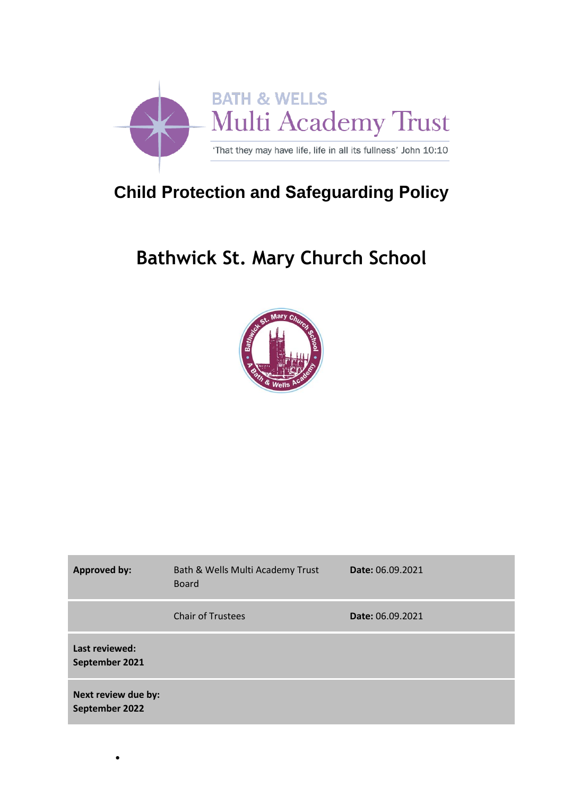

# **Child Protection and Safeguarding Policy**

# **Bathwick St. Mary Church School**



| <b>Approved by:</b>                   | Bath & Wells Multi Academy Trust<br><b>Board</b> | <b>Date: 06.09.2021</b> |
|---------------------------------------|--------------------------------------------------|-------------------------|
|                                       | <b>Chair of Trustees</b>                         | Date: 06.09.2021        |
| Last reviewed:<br>September 2021      |                                                  |                         |
| Next review due by:<br>September 2022 |                                                  |                         |

•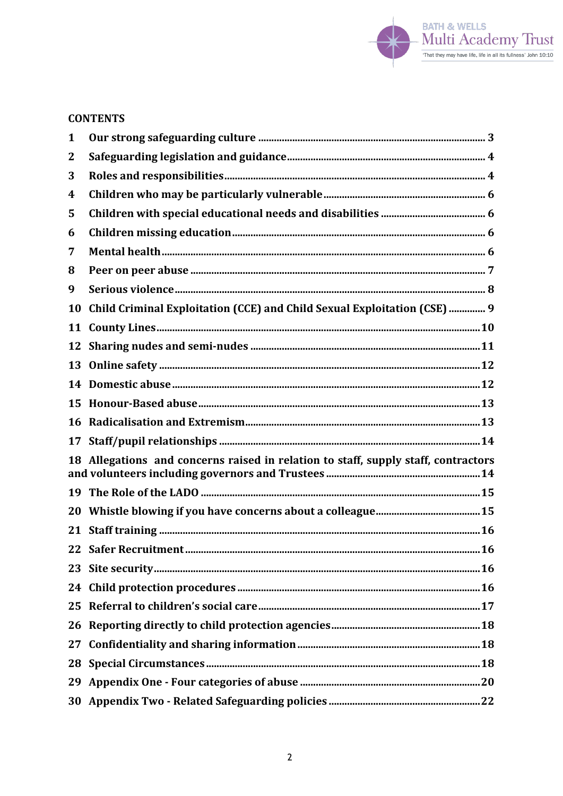

## **CONTENTS**

| 1  |                                                                                 |  |
|----|---------------------------------------------------------------------------------|--|
| 2  |                                                                                 |  |
| 3  |                                                                                 |  |
| 4  |                                                                                 |  |
| 5  |                                                                                 |  |
| 6  |                                                                                 |  |
| 7  |                                                                                 |  |
| 8  |                                                                                 |  |
| 9  |                                                                                 |  |
| 10 | Child Criminal Exploitation (CCE) and Child Sexual Exploitation (CSE)  9        |  |
| 11 |                                                                                 |  |
| 12 |                                                                                 |  |
| 13 |                                                                                 |  |
| 14 |                                                                                 |  |
| 15 |                                                                                 |  |
| 16 |                                                                                 |  |
| 17 |                                                                                 |  |
| 18 | Allegations and concerns raised in relation to staff, supply staff, contractors |  |
|    |                                                                                 |  |
| 20 |                                                                                 |  |
| 21 |                                                                                 |  |
|    |                                                                                 |  |
|    |                                                                                 |  |
| 24 |                                                                                 |  |
| 25 |                                                                                 |  |
|    |                                                                                 |  |
| 27 |                                                                                 |  |
| 28 |                                                                                 |  |
|    |                                                                                 |  |
|    |                                                                                 |  |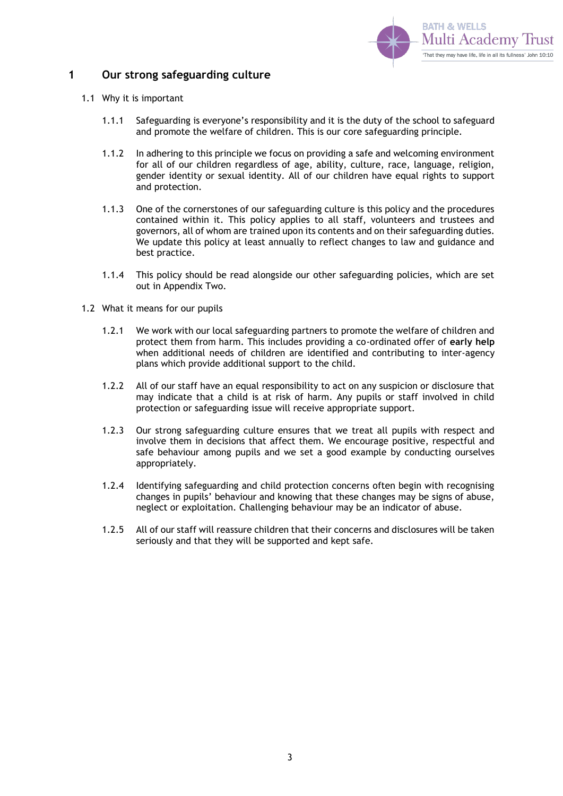

### <span id="page-2-0"></span>**1 Our strong safeguarding culture**

- 1.1 Why it is important
	- 1.1.1 Safeguarding is everyone's responsibility and it is the duty of the school to safeguard and promote the welfare of children. This is our core safeguarding principle.
	- 1.1.2 In adhering to this principle we focus on providing a safe and welcoming environment for all of our children regardless of age, ability, culture, race, language, religion, gender identity or sexual identity. All of our children have equal rights to support and protection.
	- 1.1.3 One of the cornerstones of our safeguarding culture is this policy and the procedures contained within it. This policy applies to all staff, volunteers and trustees and governors, all of whom are trained upon its contents and on their safeguarding duties. We update this policy at least annually to reflect changes to law and guidance and best practice.
	- 1.1.4 This policy should be read alongside our other safeguarding policies, which are set out in Appendix Two.
- 1.2 What it means for our pupils
	- 1.2.1 We work with our local safeguarding partners to promote the welfare of children and protect them from harm. This includes providing a co-ordinated offer of **early help**  when additional needs of children are identified and contributing to inter-agency plans which provide additional support to the child.
	- 1.2.2 All of our staff have an equal responsibility to act on any suspicion or disclosure that may indicate that a child is at risk of harm. Any pupils or staff involved in child protection or safeguarding issue will receive appropriate support.
	- 1.2.3 Our strong safeguarding culture ensures that we treat all pupils with respect and involve them in decisions that affect them. We encourage positive, respectful and safe behaviour among pupils and we set a good example by conducting ourselves appropriately.
	- 1.2.4 Identifying safeguarding and child protection concerns often begin with recognising changes in pupils' behaviour and knowing that these changes may be signs of abuse, neglect or exploitation. Challenging behaviour may be an indicator of abuse.
	- 1.2.5 All of our staff will reassure children that their concerns and disclosures will be taken seriously and that they will be supported and kept safe.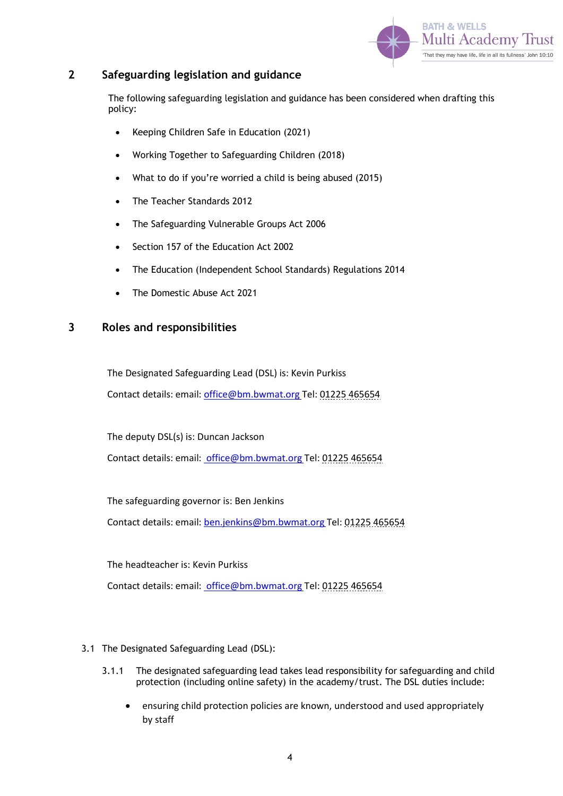

## <span id="page-3-0"></span>**2 Safeguarding legislation and guidance**

The following safeguarding legislation and guidance has been considered when drafting this policy:

- Keeping Children Safe in Education (2021)
- Working Together to Safeguarding Children (2018)
- What to do if you're worried a child is being abused (2015)
- The Teacher Standards 2012
- The Safeguarding Vulnerable Groups Act 2006
- Section 157 of the Education Act 2002
- The Education (Independent School Standards) Regulations 2014
- The Domestic Abuse Act 2021

### <span id="page-3-1"></span>**3 Roles and responsibilities**

The Designated Safeguarding Lead (DSL) is: Kevin Purkiss Contact details: email[: office@bm.bwmat.org](mailto:office@bm.bwmat.org) Tel: 01225 465654

The deputy DSL(s) is: Duncan Jackson Contact details: email[: office@bm.bwmat.org](mailto:%20office@bm.bwmat.org) Tel: 01225 465654

The safeguarding governor is: Ben Jenkins Contact details: email[: ben.jenkins@bm.bwmat.org](mailto:ben.jenkins@bm.bwmat.org) Tel: 01225 465654

The headteacher is: Kevin Purkiss Contact details: email[: office@bm.bwmat.org](mailto:%20office@bm.bwmat.org) Tel: 01225 465654

#### 3.1 The Designated Safeguarding Lead (DSL):

- 3.1.1 The designated safeguarding lead takes lead responsibility for safeguarding and child protection (including online safety) in the academy/trust. The DSL duties include:
	- ensuring child protection policies are known, understood and used appropriately by staff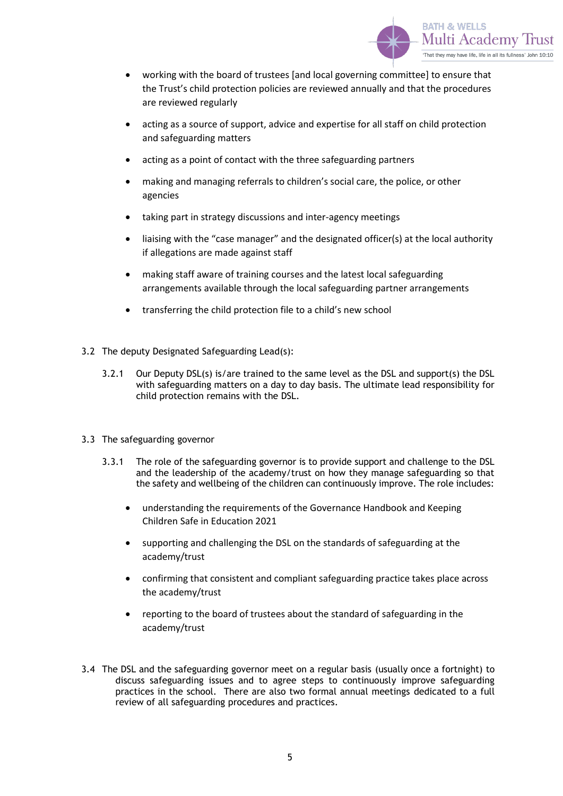

- working with the board of trustees [and local governing committee] to ensure that the Trust's child protection policies are reviewed annually and that the procedures are reviewed regularly
- acting as a source of support, advice and expertise for all staff on child protection and safeguarding matters
- acting as a point of contact with the three safeguarding partners
- making and managing referrals to children's social care, the police, or other agencies
- taking part in strategy discussions and inter-agency meetings
- liaising with the "case manager" and the designated officer(s) at the local authority if allegations are made against staff
- making staff aware of training courses and the latest local safeguarding arrangements available through the local safeguarding partner arrangements
- transferring the child protection file to a child's new school
- 3.2 The deputy Designated Safeguarding Lead(s):
	- 3.2.1 Our Deputy DSL(s) is/are trained to the same level as the DSL and support(s) the DSL with safeguarding matters on a day to day basis. The ultimate lead responsibility for child protection remains with the DSL.
- 3.3 The safeguarding governor
	- 3.3.1 The role of the safeguarding governor is to provide support and challenge to the DSL and the leadership of the academy/trust on how they manage safeguarding so that the safety and wellbeing of the children can continuously improve. The role includes:
		- understanding the requirements of the Governance Handbook and Keeping Children Safe in Education 2021
		- supporting and challenging the DSL on the standards of safeguarding at the academy/trust
		- confirming that consistent and compliant safeguarding practice takes place across the academy/trust
		- reporting to the board of trustees about the standard of safeguarding in the academy/trust
- 3.4 The DSL and the safeguarding governor meet on a regular basis (usually once a fortnight) to discuss safeguarding issues and to agree steps to continuously improve safeguarding practices in the school. There are also two formal annual meetings dedicated to a full review of all safeguarding procedures and practices.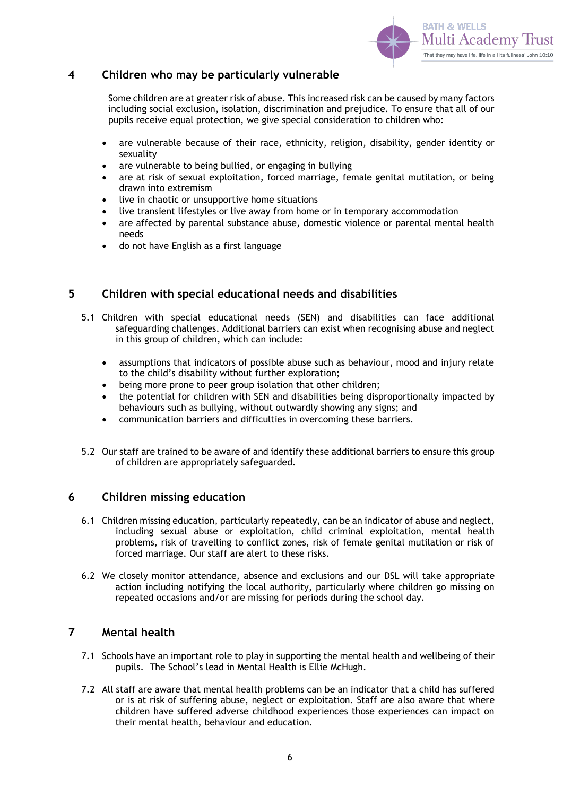

### <span id="page-5-0"></span>**4 Children who may be particularly vulnerable**

Some children are at greater risk of abuse. This increased risk can be caused by many factors including social exclusion, isolation, discrimination and prejudice. To ensure that all of our pupils receive equal protection, we give special consideration to children who:

- are vulnerable because of their race, ethnicity, religion, disability, gender identity or sexuality
- are vulnerable to being bullied, or engaging in bullying
- are at risk of sexual exploitation, forced marriage, female genital mutilation, or being drawn into extremism
- live in chaotic or unsupportive home situations
- live transient lifestyles or live away from home or in temporary accommodation
- are affected by parental substance abuse, domestic violence or parental mental health needs
- do not have English as a first language

## <span id="page-5-1"></span>**5 Children with special educational needs and disabilities**

- 5.1 Children with special educational needs (SEN) and disabilities can face additional safeguarding challenges. Additional barriers can exist when recognising abuse and neglect in this group of children, which can include:
	- assumptions that indicators of possible abuse such as behaviour, mood and injury relate to the child's disability without further exploration;
	- being more prone to peer group isolation that other children;
	- the potential for children with SEN and disabilities being disproportionally impacted by behaviours such as bullying, without outwardly showing any signs; and
	- communication barriers and difficulties in overcoming these barriers.
- 5.2 Our staff are trained to be aware of and identify these additional barriers to ensure this group of children are appropriately safeguarded.

## <span id="page-5-2"></span>**6 Children missing education**

- 6.1 Children missing education, particularly repeatedly, can be an indicator of abuse and neglect, including sexual abuse or exploitation, child criminal exploitation, mental health problems, risk of travelling to conflict zones, risk of female genital mutilation or risk of forced marriage. Our staff are alert to these risks.
- 6.2 We closely monitor attendance, absence and exclusions and our DSL will take appropriate action including notifying the local authority, particularly where children go missing on repeated occasions and/or are missing for periods during the school day.

## <span id="page-5-3"></span>**7 Mental health**

- 7.1 Schools have an important role to play in supporting the mental health and wellbeing of their pupils. The School's lead in Mental Health is Ellie McHugh.
- 7.2 All staff are aware that mental health problems can be an indicator that a child has suffered or is at risk of suffering abuse, neglect or exploitation. Staff are also aware that where children have suffered adverse childhood experiences those experiences can impact on their mental health, behaviour and education.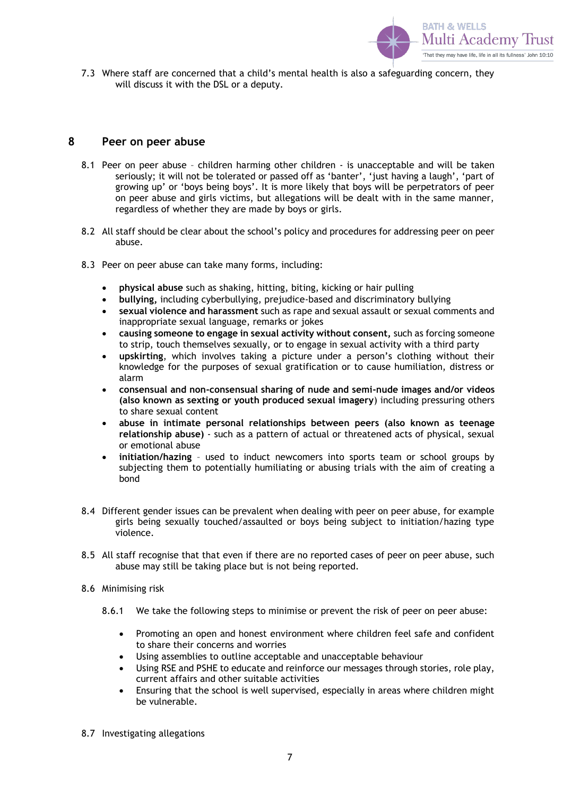

7.3 Where staff are concerned that a child's mental health is also a safeguarding concern, they will discuss it with the DSL or a deputy.

#### <span id="page-6-0"></span>**8 Peer on peer abuse**

- 8.1 Peer on peer abuse children harming other children is unacceptable and will be taken seriously; it will not be tolerated or passed off as 'banter', 'just having a laugh', 'part of growing up' or 'boys being boys'. It is more likely that boys will be perpetrators of peer on peer abuse and girls victims, but allegations will be dealt with in the same manner, regardless of whether they are made by boys or girls.
- 8.2 All staff should be clear about the school's policy and procedures for addressing peer on peer abuse.
- 8.3 Peer on peer abuse can take many forms, including:
	- **physical abuse** such as shaking, hitting, biting, kicking or hair pulling
	- **bullying,** including cyberbullying, prejudice-based and discriminatory bullying
	- **sexual violence and harassment** such as rape and sexual assault or sexual comments and inappropriate sexual language, remarks or jokes
	- **causing someone to engage in sexual activity without consent,** such as forcing someone to strip, touch themselves sexually, or to engage in sexual activity with a third party
	- **upskirting**, which involves taking a picture under a person's clothing without their knowledge for the purposes of sexual gratification or to cause humiliation, distress or alarm
	- **consensual and non-consensual sharing of nude and semi-nude images and/or videos (also known as sexting or youth produced sexual imagery**) including pressuring others to share sexual content
	- **abuse in intimate personal relationships between peers (also known as teenage relationship abuse)** - such as a pattern of actual or threatened acts of physical, sexual or emotional abuse
	- **initiation/hazing** used to induct newcomers into sports team or school groups by subjecting them to potentially humiliating or abusing trials with the aim of creating a bond
- 8.4 Different gender issues can be prevalent when dealing with peer on peer abuse, for example girls being sexually touched/assaulted or boys being subject to initiation/hazing type violence.
- 8.5 All staff recognise that that even if there are no reported cases of peer on peer abuse, such abuse may still be taking place but is not being reported.
- 8.6 Minimising risk
	- 8.6.1 We take the following steps to minimise or prevent the risk of peer on peer abuse:
		- Promoting an open and honest environment where children feel safe and confident to share their concerns and worries
		- Using assemblies to outline acceptable and unacceptable behaviour
		- Using RSE and PSHE to educate and reinforce our messages through stories, role play, current affairs and other suitable activities
		- Ensuring that the school is well supervised, especially in areas where children might be vulnerable.
- 8.7 Investigating allegations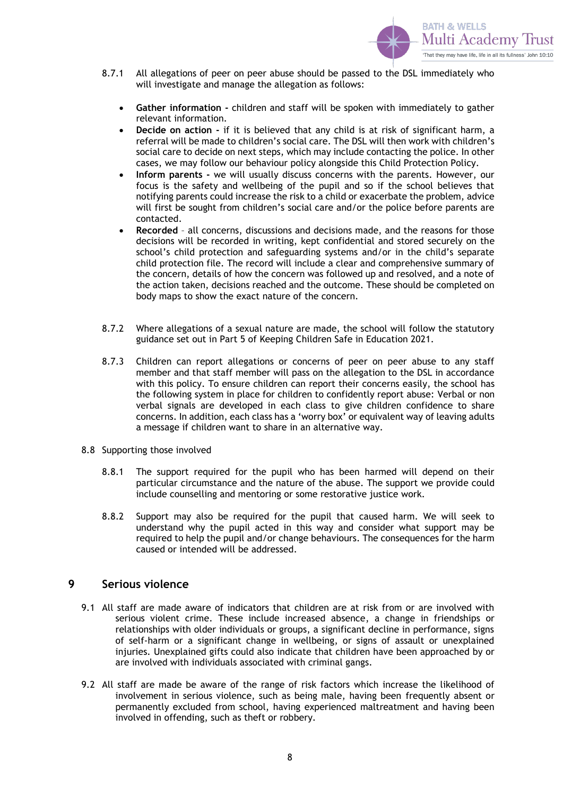

- 8.7.1 All allegations of peer on peer abuse should be passed to the DSL immediately who will investigate and manage the allegation as follows:
	- **Gather information -** children and staff will be spoken with immediately to gather relevant information.
	- **Decide on action -** if it is believed that any child is at risk of significant harm, a referral will be made to children's social care. The DSL will then work with children's social care to decide on next steps, which may include contacting the police. In other cases, we may follow our behaviour policy alongside this Child Protection Policy.
	- **Inform parents -** we will usually discuss concerns with the parents. However, our focus is the safety and wellbeing of the pupil and so if the school believes that notifying parents could increase the risk to a child or exacerbate the problem, advice will first be sought from children's social care and/or the police before parents are contacted.
	- **Recorded**  all concerns, discussions and decisions made, and the reasons for those decisions will be recorded in writing, kept confidential and stored securely on the school's child protection and safeguarding systems and/or in the child's separate child protection file. The record will include a clear and comprehensive summary of the concern, details of how the concern was followed up and resolved, and a note of the action taken, decisions reached and the outcome. These should be completed on body maps to show the exact nature of the concern.
- 8.7.2 Where allegations of a sexual nature are made, the school will follow the statutory guidance set out in Part 5 of Keeping Children Safe in Education 2021.
- 8.7.3 Children can report allegations or concerns of peer on peer abuse to any staff member and that staff member will pass on the allegation to the DSL in accordance with this policy. To ensure children can report their concerns easily, the school has the following system in place for children to confidently report abuse: Verbal or non verbal signals are developed in each class to give children confidence to share concerns. In addition, each class has a 'worry box' or equivalent way of leaving adults a message if children want to share in an alternative way.
- 8.8 Supporting those involved
	- 8.8.1 The support required for the pupil who has been harmed will depend on their particular circumstance and the nature of the abuse. The support we provide could include counselling and mentoring or some restorative justice work.
	- 8.8.2 Support may also be required for the pupil that caused harm. We will seek to understand why the pupil acted in this way and consider what support may be required to help the pupil and/or change behaviours. The consequences for the harm caused or intended will be addressed.

### <span id="page-7-0"></span>**9 Serious violence**

- 9.1 All staff are made aware of indicators that children are at risk from or are involved with serious violent crime. These include increased absence, a change in friendships or relationships with older individuals or groups, a significant decline in performance, signs of self-harm or a significant change in wellbeing, or signs of assault or unexplained injuries. Unexplained gifts could also indicate that children have been approached by or are involved with individuals associated with criminal gangs.
- 9.2 All staff are made be aware of the range of risk factors which increase the likelihood of involvement in serious violence, such as being male, having been frequently absent or permanently excluded from school, having experienced maltreatment and having been involved in offending, such as theft or robbery.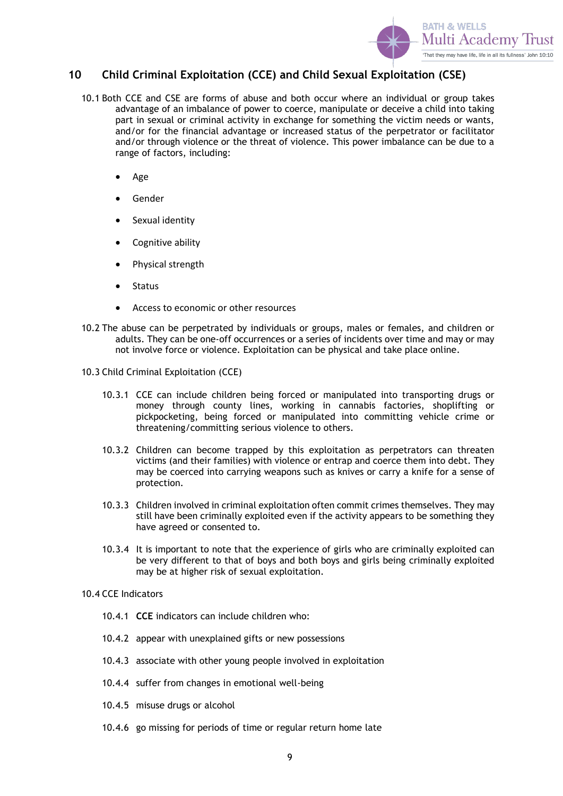

## <span id="page-8-0"></span>**10 Child Criminal Exploitation (CCE) and Child Sexual Exploitation (CSE)**

- 10.1 Both CCE and CSE are forms of abuse and both occur where an individual or group takes advantage of an imbalance of power to coerce, manipulate or deceive a child into taking part in sexual or criminal activity in exchange for something the victim needs or wants, and/or for the financial advantage or increased status of the perpetrator or facilitator and/or through violence or the threat of violence. This power imbalance can be due to a range of factors, including:
	- Age
	- Gender
	- Sexual identity
	- Cognitive ability
	- Physical strength
	- Status
	- Access to economic or other resources
- 10.2 The abuse can be perpetrated by individuals or groups, males or females, and children or adults. They can be one-off occurrences or a series of incidents over time and may or may not involve force or violence. Exploitation can be physical and take place online.
- 10.3 Child Criminal Exploitation (CCE)
	- 10.3.1 CCE can include children being forced or manipulated into transporting drugs or money through county lines, working in cannabis factories, shoplifting or pickpocketing, being forced or manipulated into committing vehicle crime or threatening/committing serious violence to others.
	- 10.3.2 Children can become trapped by this exploitation as perpetrators can threaten victims (and their families) with violence or entrap and coerce them into debt. They may be coerced into carrying weapons such as knives or carry a knife for a sense of protection.
	- 10.3.3 Children involved in criminal exploitation often commit crimes themselves. They may still have been criminally exploited even if the activity appears to be something they have agreed or consented to.
	- 10.3.4 It is important to note that the experience of girls who are criminally exploited can be very different to that of boys and both boys and girls being criminally exploited may be at higher risk of sexual exploitation.

#### 10.4 CCE Indicators

- 10.4.1 **CCE** indicators can include children who:
- 10.4.2 appear with unexplained gifts or new possessions
- 10.4.3 associate with other young people involved in exploitation
- 10.4.4 suffer from changes in emotional well-being
- 10.4.5 misuse drugs or alcohol
- 10.4.6 go missing for periods of time or regular return home late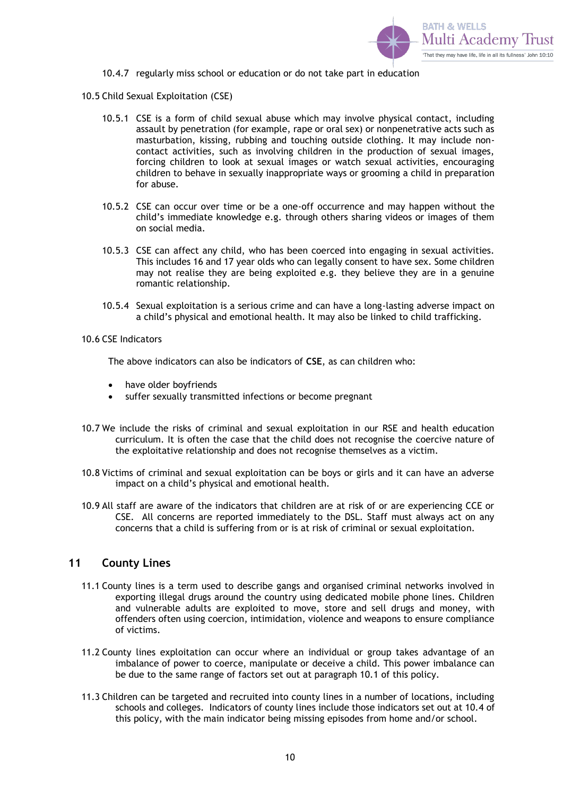

10.4.7 regularly miss school or education or do not take part in education

10.5 Child Sexual Exploitation (CSE)

- 10.5.1 CSE is a form of child sexual abuse which may involve physical contact, including assault by penetration (for example, rape or oral sex) or nonpenetrative acts such as masturbation, kissing, rubbing and touching outside clothing. It may include noncontact activities, such as involving children in the production of sexual images, forcing children to look at sexual images or watch sexual activities, encouraging children to behave in sexually inappropriate ways or grooming a child in preparation for abuse.
- 10.5.2 CSE can occur over time or be a one-off occurrence and may happen without the child's immediate knowledge e.g. through others sharing videos or images of them on social media.
- 10.5.3 CSE can affect any child, who has been coerced into engaging in sexual activities. This includes 16 and 17 year olds who can legally consent to have sex. Some children may not realise they are being exploited e.g. they believe they are in a genuine romantic relationship.
- 10.5.4 Sexual exploitation is a serious crime and can have a long-lasting adverse impact on a child's physical and emotional health. It may also be linked to child trafficking.

#### 10.6 CSE Indicators

The above indicators can also be indicators of **CSE**, as can children who:

- have older bovfriends
- suffer sexually transmitted infections or become pregnant
- 10.7 We include the risks of criminal and sexual exploitation in our RSE and health education curriculum. It is often the case that the child does not recognise the coercive nature of the exploitative relationship and does not recognise themselves as a victim.
- 10.8 Victims of criminal and sexual exploitation can be boys or girls and it can have an adverse impact on a child's physical and emotional health.
- 10.9 All staff are aware of the indicators that children are at risk of or are experiencing CCE or CSE. All concerns are reported immediately to the DSL. Staff must always act on any concerns that a child is suffering from or is at risk of criminal or sexual exploitation.

#### <span id="page-9-0"></span>**11 County Lines**

- 11.1 County lines is a term used to describe gangs and organised criminal networks involved in exporting illegal drugs around the country using dedicated mobile phone lines. Children and vulnerable adults are exploited to move, store and sell drugs and money, with offenders often using coercion, intimidation, violence and weapons to ensure compliance of victims.
- 11.2 County lines exploitation can occur where an individual or group takes advantage of an imbalance of power to coerce, manipulate or deceive a child. This power imbalance can be due to the same range of factors set out at paragraph 10.1 of this policy.
- 11.3 Children can be targeted and recruited into county lines in a number of locations, including schools and colleges. Indicators of county lines include those indicators set out at 10.4 of this policy, with the main indicator being missing episodes from home and/or school.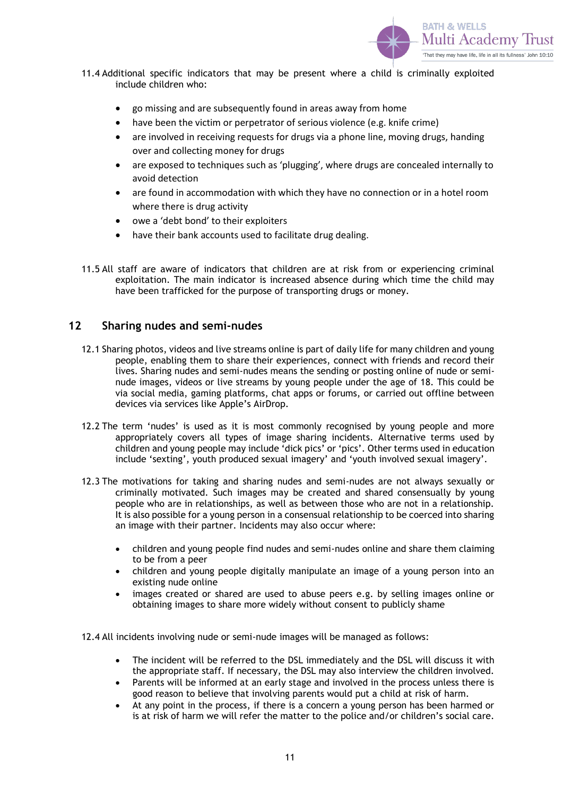

- 11.4 Additional specific indicators that may be present where a child is criminally exploited include children who:
	- go missing and are subsequently found in areas away from home
	- have been the victim or perpetrator of serious violence (e.g. knife crime)
	- are involved in receiving requests for drugs via a phone line, moving drugs, handing over and collecting money for drugs
	- are exposed to techniques such as 'plugging', where drugs are concealed internally to avoid detection
	- are found in accommodation with which they have no connection or in a hotel room where there is drug activity
	- owe a 'debt bond' to their exploiters
	- have their bank accounts used to facilitate drug dealing.
- 11.5 All staff are aware of indicators that children are at risk from or experiencing criminal exploitation. The main indicator is increased absence during which time the child may have been trafficked for the purpose of transporting drugs or money.

## <span id="page-10-0"></span>**12 Sharing nudes and semi-nudes**

- 12.1 Sharing photos, videos and live streams online is part of daily life for many children and young people, enabling them to share their experiences, connect with friends and record their lives. Sharing nudes and semi-nudes means the sending or posting online of nude or seminude images, videos or live streams by young people under the age of 18. This could be via social media, gaming platforms, chat apps or forums, or carried out offline between devices via services like Apple's AirDrop.
- 12.2 The term 'nudes' is used as it is most commonly recognised by young people and more appropriately covers all types of image sharing incidents. Alternative terms used by children and young people may include 'dick pics' or 'pics'. Other terms used in education include 'sexting', youth produced sexual imagery' and 'youth involved sexual imagery'.
- 12.3 The motivations for taking and sharing nudes and semi-nudes are not always sexually or criminally motivated. Such images may be created and shared consensually by young people who are in relationships, as well as between those who are not in a relationship. It is also possible for a young person in a consensual relationship to be coerced into sharing an image with their partner. Incidents may also occur where:
	- children and young people find nudes and semi-nudes online and share them claiming to be from a peer
	- children and young people digitally manipulate an image of a young person into an existing nude online
	- images created or shared are used to abuse peers e.g. by selling images online or obtaining images to share more widely without consent to publicly shame

12.4 All incidents involving nude or semi-nude images will be managed as follows:

- The incident will be referred to the DSL immediately and the DSL will discuss it with the appropriate staff. If necessary, the DSL may also interview the children involved.
- Parents will be informed at an early stage and involved in the process unless there is good reason to believe that involving parents would put a child at risk of harm.
- At any point in the process, if there is a concern a young person has been harmed or is at risk of harm we will refer the matter to the police and/or children's social care.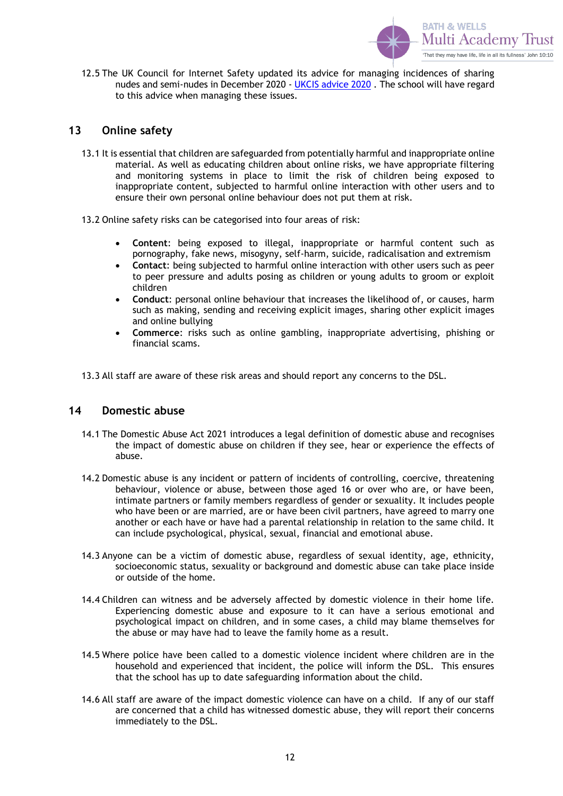

12.5 The UK Council for Internet Safety updated its advice for managing incidences of sharing nudes and semi-nudes in December 2020 - [UKCIS advice 2020](https://www.gov.uk/government/publications/sharing-nudes-and-semi-nudes-advice-for-education-settings-working-with-children-and-young-people/sharing-nudes-and-semi-nudes-advice-for-education-settings-working-with-children-and-young-people) . The school will have regard to this advice when managing these issues.

## <span id="page-11-0"></span>**13 Online safety**

- 13.1 It is essential that children are safeguarded from potentially harmful and inappropriate online material. As well as educating children about online risks, we have appropriate filtering and monitoring systems in place to limit the risk of children being exposed to inappropriate content, subjected to harmful online interaction with other users and to ensure their own personal online behaviour does not put them at risk.
- 13.2 Online safety risks can be categorised into four areas of risk:
	- **Content**: being exposed to illegal, inappropriate or harmful content such as pornography, fake news, misogyny, self-harm, suicide, radicalisation and extremism
	- **Contact**: being subjected to harmful online interaction with other users such as peer to peer pressure and adults posing as children or young adults to groom or exploit children
	- **Conduct**: personal online behaviour that increases the likelihood of, or causes, harm such as making, sending and receiving explicit images, sharing other explicit images and online bullying
	- **Commerce**: risks such as online gambling, inappropriate advertising, phishing or financial scams.
- 13.3 All staff are aware of these risk areas and should report any concerns to the DSL.

#### <span id="page-11-1"></span>**14 Domestic abuse**

- 14.1 The Domestic Abuse Act 2021 introduces a legal definition of domestic abuse and recognises the impact of domestic abuse on children if they see, hear or experience the effects of abuse.
- 14.2 Domestic abuse is any incident or pattern of incidents of controlling, coercive, threatening behaviour, violence or abuse, between those aged 16 or over who are, or have been, intimate partners or family members regardless of gender or sexuality. It includes people who have been or are married, are or have been civil partners, have agreed to marry one another or each have or have had a parental relationship in relation to the same child. It can include psychological, physical, sexual, financial and emotional abuse.
- 14.3 Anyone can be a victim of domestic abuse, regardless of sexual identity, age, ethnicity, socioeconomic status, sexuality or background and domestic abuse can take place inside or outside of the home.
- 14.4 Children can witness and be adversely affected by domestic violence in their home life. Experiencing domestic abuse and exposure to it can have a serious emotional and psychological impact on children, and in some cases, a child may blame themselves for the abuse or may have had to leave the family home as a result.
- 14.5 Where police have been called to a domestic violence incident where children are in the household and experienced that incident, the police will inform the DSL. This ensures that the school has up to date safeguarding information about the child.
- 14.6 All staff are aware of the impact domestic violence can have on a child. If any of our staff are concerned that a child has witnessed domestic abuse, they will report their concerns immediately to the DSL.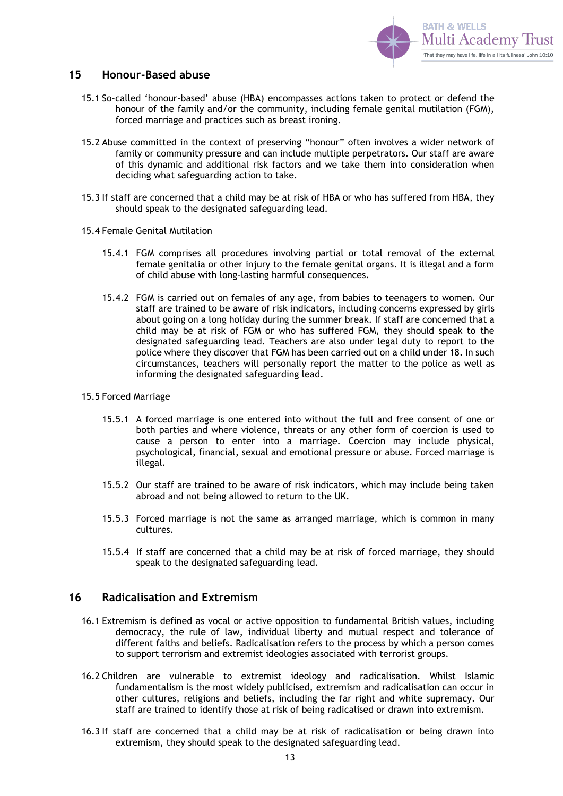

#### <span id="page-12-0"></span>**15 Honour-Based abuse**

- 15.1 So-called 'honour-based' abuse (HBA) encompasses actions taken to protect or defend the honour of the family and/or the community, including female genital mutilation (FGM), forced marriage and practices such as breast ironing.
- 15.2 Abuse committed in the context of preserving "honour" often involves a wider network of family or community pressure and can include multiple perpetrators. Our staff are aware of this dynamic and additional risk factors and we take them into consideration when deciding what safeguarding action to take.
- 15.3 If staff are concerned that a child may be at risk of HBA or who has suffered from HBA, they should speak to the designated safeguarding lead.
- 15.4 Female Genital Mutilation
	- 15.4.1 FGM comprises all procedures involving partial or total removal of the external female genitalia or other injury to the female genital organs. It is illegal and a form of child abuse with long-lasting harmful consequences.
	- 15.4.2 FGM is carried out on females of any age, from babies to teenagers to women. Our staff are trained to be aware of risk indicators, including concerns expressed by girls about going on a long holiday during the summer break. If staff are concerned that a child may be at risk of FGM or who has suffered FGM, they should speak to the designated safeguarding lead. Teachers are also under legal duty to report to the police where they discover that FGM has been carried out on a child under 18. In such circumstances, teachers will personally report the matter to the police as well as informing the designated safeguarding lead.

#### 15.5 Forced Marriage

- 15.5.1 A forced marriage is one entered into without the full and free consent of one or both parties and where violence, threats or any other form of coercion is used to cause a person to enter into a marriage. Coercion may include physical, psychological, financial, sexual and emotional pressure or abuse. Forced marriage is illegal.
- 15.5.2 Our staff are trained to be aware of risk indicators, which may include being taken abroad and not being allowed to return to the UK.
- 15.5.3 Forced marriage is not the same as arranged marriage, which is common in many cultures.
- 15.5.4 If staff are concerned that a child may be at risk of forced marriage, they should speak to the designated safeguarding lead.

## <span id="page-12-1"></span>**16 Radicalisation and Extremism**

- 16.1 Extremism is defined as vocal or active opposition to fundamental British values, including democracy, the rule of law, individual liberty and mutual respect and tolerance of different faiths and beliefs. Radicalisation refers to the process by which a person comes to support terrorism and extremist ideologies associated with terrorist groups.
- 16.2 Children are vulnerable to extremist ideology and radicalisation. Whilst Islamic fundamentalism is the most widely publicised, extremism and radicalisation can occur in other cultures, religions and beliefs, including the far right and white supremacy. Our staff are trained to identify those at risk of being radicalised or drawn into extremism.
- 16.3 If staff are concerned that a child may be at risk of radicalisation or being drawn into extremism, they should speak to the designated safeguarding lead.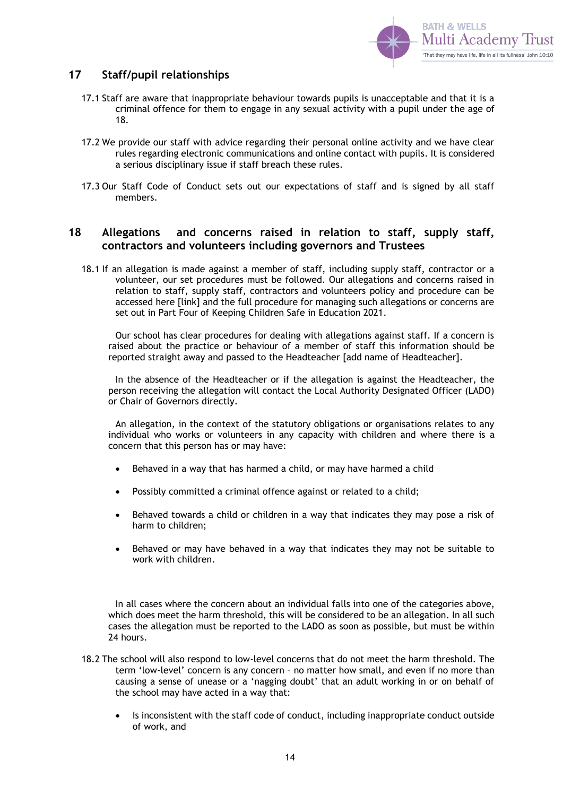

## <span id="page-13-0"></span>**17 Staff/pupil relationships**

- 17.1 Staff are aware that inappropriate behaviour towards pupils is unacceptable and that it is a criminal offence for them to engage in any sexual activity with a pupil under the age of 18.
- 17.2 We provide our staff with advice regarding their personal online activity and we have clear rules regarding electronic communications and online contact with pupils. It is considered a serious disciplinary issue if staff breach these rules.
- 17.3 Our Staff Code of Conduct sets out our expectations of staff and is signed by all staff members.

### <span id="page-13-1"></span>**18 Allegations and concerns raised in relation to staff, supply staff, contractors and volunteers including governors and Trustees**

18.1 If an allegation is made against a member of staff, including supply staff, contractor or a volunteer, our set procedures must be followed. Our allegations and concerns raised in relation to staff, supply staff, contractors and volunteers policy and procedure can be accessed here [link] and the full procedure for managing such allegations or concerns are set out in Part Four of Keeping Children Safe in Education 2021.

Our school has clear procedures for dealing with allegations against staff. If a concern is raised about the practice or behaviour of a member of staff this information should be reported straight away and passed to the Headteacher [add name of Headteacher].

In the absence of the Headteacher or if the allegation is against the Headteacher, the person receiving the allegation will contact the Local Authority Designated Officer (LADO) or Chair of Governors directly.

An allegation, in the context of the statutory obligations or organisations relates to any individual who works or volunteers in any capacity with children and where there is a concern that this person has or may have:

- Behaved in a way that has harmed a child, or may have harmed a child
- Possibly committed a criminal offence against or related to a child;
- Behaved towards a child or children in a way that indicates they may pose a risk of harm to children;
- Behaved or may have behaved in a way that indicates they may not be suitable to work with children.

In all cases where the concern about an individual falls into one of the categories above, which does meet the harm threshold, this will be considered to be an allegation. In all such cases the allegation must be reported to the LADO as soon as possible, but must be within 24 hours.

- 18.2 The school will also respond to low-level concerns that do not meet the harm threshold. The term 'low-level' concern is any concern – no matter how small, and even if no more than causing a sense of unease or a 'nagging doubt' that an adult working in or on behalf of the school may have acted in a way that:
	- Is inconsistent with the staff code of conduct, including inappropriate conduct outside of work, and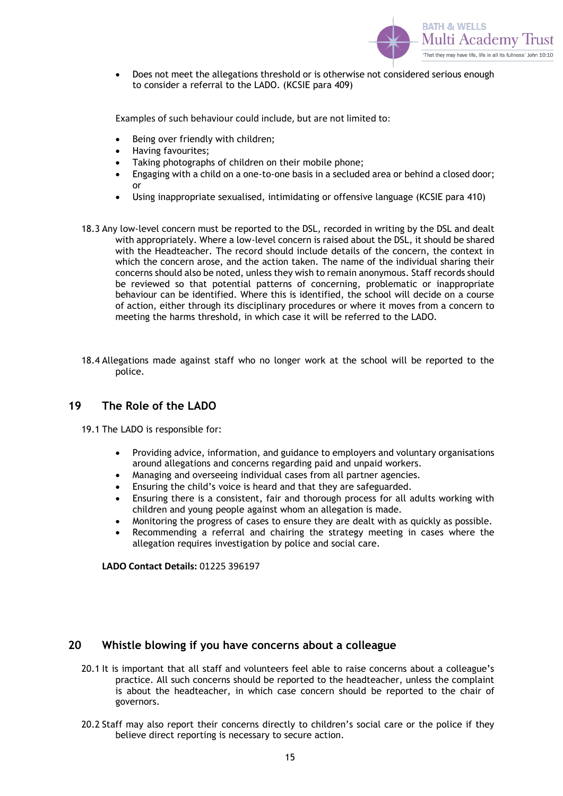

• Does not meet the allegations threshold or is otherwise not considered serious enough to consider a referral to the LADO. (KCSIE para 409)

Examples of such behaviour could include, but are not limited to:

- Being over friendly with children;
- Having favourites;
- Taking photographs of children on their mobile phone;
- Engaging with a child on a one-to-one basis in a secluded area or behind a closed door; or
- Using inappropriate sexualised, intimidating or offensive language (KCSIE para 410)
- 18.3 Any low-level concern must be reported to the DSL, recorded in writing by the DSL and dealt with appropriately. Where a low-level concern is raised about the DSL, it should be shared with the Headteacher. The record should include details of the concern, the context in which the concern arose, and the action taken. The name of the individual sharing their concerns should also be noted, unless they wish to remain anonymous. Staff records should be reviewed so that potential patterns of concerning, problematic or inappropriate behaviour can be identified. Where this is identified, the school will decide on a course of action, either through its disciplinary procedures or where it moves from a concern to meeting the harms threshold, in which case it will be referred to the LADO.
- 18.4 Allegations made against staff who no longer work at the school will be reported to the police.

### <span id="page-14-0"></span>**19 The Role of the LADO**

- 19.1 The LADO is responsible for:
	- Providing advice, information, and guidance to employers and voluntary organisations around allegations and concerns regarding paid and unpaid workers.
	- Managing and overseeing individual cases from all partner agencies.
	- Ensuring the child's voice is heard and that they are safeguarded.
	- Ensuring there is a consistent, fair and thorough process for all adults working with children and young people against whom an allegation is made.
	- Monitoring the progress of cases to ensure they are dealt with as quickly as possible.
	- Recommending a referral and chairing the strategy meeting in cases where the allegation requires investigation by police and social care.

**LADO Contact Details:** 01225 396197

### <span id="page-14-1"></span>**20 Whistle blowing if you have concerns about a colleague**

- 20.1 It is important that all staff and volunteers feel able to raise concerns about a colleague's practice. All such concerns should be reported to the headteacher, unless the complaint is about the headteacher, in which case concern should be reported to the chair of governors.
- 20.2 Staff may also report their concerns directly to children's social care or the police if they believe direct reporting is necessary to secure action.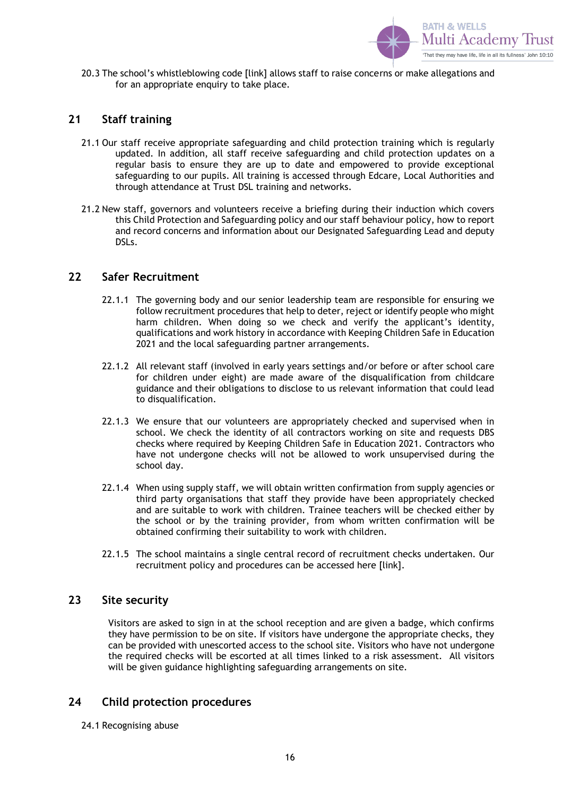

20.3 The school's whistleblowing code [link] allows staff to raise concerns or make allegations and for an appropriate enquiry to take place.

## <span id="page-15-0"></span>**21 Staff training**

- 21.1 Our staff receive appropriate safeguarding and child protection training which is regularly updated. In addition, all staff receive safeguarding and child protection updates on a regular basis to ensure they are up to date and empowered to provide exceptional safeguarding to our pupils. All training is accessed through Edcare, Local Authorities and through attendance at Trust DSL training and networks.
- 21.2 New staff, governors and volunteers receive a briefing during their induction which covers this Child Protection and Safeguarding policy and our staff behaviour policy, how to report and record concerns and information about our Designated Safeguarding Lead and deputy DSLs.

### <span id="page-15-1"></span>**22 Safer Recruitment**

- 22.1.1 The governing body and our senior leadership team are responsible for ensuring we follow recruitment procedures that help to deter, reject or identify people who might harm children. When doing so we check and verify the applicant's identity, qualifications and work history in accordance with Keeping Children Safe in Education 2021 and the local safeguarding partner arrangements.
- 22.1.2 All relevant staff (involved in early years settings and/or before or after school care for children under eight) are made aware of the disqualification from childcare guidance and their obligations to disclose to us relevant information that could lead to disqualification.
- 22.1.3 We ensure that our volunteers are appropriately checked and supervised when in school. We check the identity of all contractors working on site and requests DBS checks where required by Keeping Children Safe in Education 2021. Contractors who have not undergone checks will not be allowed to work unsupervised during the school day.
- 22.1.4 When using supply staff, we will obtain written confirmation from supply agencies or third party organisations that staff they provide have been appropriately checked and are suitable to work with children. Trainee teachers will be checked either by the school or by the training provider, from whom written confirmation will be obtained confirming their suitability to work with children.
- 22.1.5 The school maintains a single central record of recruitment checks undertaken. Our recruitment policy and procedures can be accessed here [link].

### <span id="page-15-2"></span>**23 Site security**

Visitors are asked to sign in at the school reception and are given a badge, which confirms they have permission to be on site. If visitors have undergone the appropriate checks, they can be provided with unescorted access to the school site. Visitors who have not undergone the required checks will be escorted at all times linked to a risk assessment. All visitors will be given guidance highlighting safeguarding arrangements on site.

### <span id="page-15-3"></span>**24 Child protection procedures**

24.1 Recognising abuse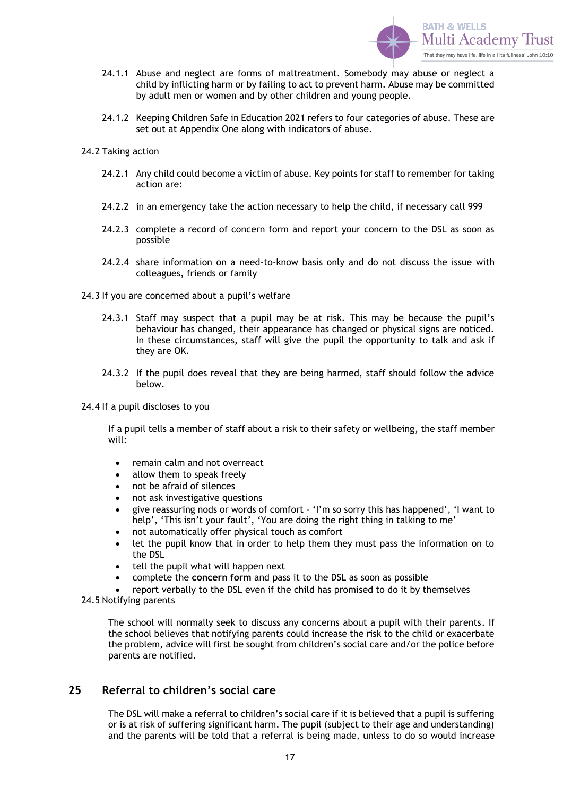

- 24.1.1 Abuse and neglect are forms of maltreatment. Somebody may abuse or neglect a child by inflicting harm or by failing to act to prevent harm. Abuse may be committed by adult men or women and by other children and young people.
- 24.1.2 Keeping Children Safe in Education 2021 refers to four categories of abuse. These are set out at Appendix One along with indicators of abuse.
- 24.2 Taking action
	- 24.2.1 Any child could become a victim of abuse. Key points for staff to remember for taking action are:
	- 24.2.2 in an emergency take the action necessary to help the child, if necessary call 999
	- 24.2.3 complete a record of concern form and report your concern to the DSL as soon as possible
	- 24.2.4 share information on a need-to-know basis only and do not discuss the issue with colleagues, friends or family
- 24.3 If you are concerned about a pupil's welfare
	- 24.3.1 Staff may suspect that a pupil may be at risk. This may be because the pupil's behaviour has changed, their appearance has changed or physical signs are noticed. In these circumstances, staff will give the pupil the opportunity to talk and ask if they are OK.
	- 24.3.2 If the pupil does reveal that they are being harmed, staff should follow the advice below.
- 24.4 If a pupil discloses to you

If a pupil tells a member of staff about a risk to their safety or wellbeing, the staff member will:

- remain calm and not overreact
- allow them to speak freely
- not be afraid of silences
- not ask investigative questions
- give reassuring nods or words of comfort 'I'm so sorry this has happened', 'I want to help', 'This isn't your fault', 'You are doing the right thing in talking to me'
- not automatically offer physical touch as comfort
- let the pupil know that in order to help them they must pass the information on to the DSL
- tell the pupil what will happen next
- complete the **concern form** and pass it to the DSL as soon as possible
- report verbally to the DSL even if the child has promised to do it by themselves
- 24.5 Notifying parents

The school will normally seek to discuss any concerns about a pupil with their parents. If the school believes that notifying parents could increase the risk to the child or exacerbate the problem, advice will first be sought from children's social care and/or the police before parents are notified.

### <span id="page-16-0"></span>**25 Referral to children's social care**

The DSL will make a referral to children's social care if it is believed that a pupil is suffering or is at risk of suffering significant harm. The pupil (subject to their age and understanding) and the parents will be told that a referral is being made, unless to do so would increase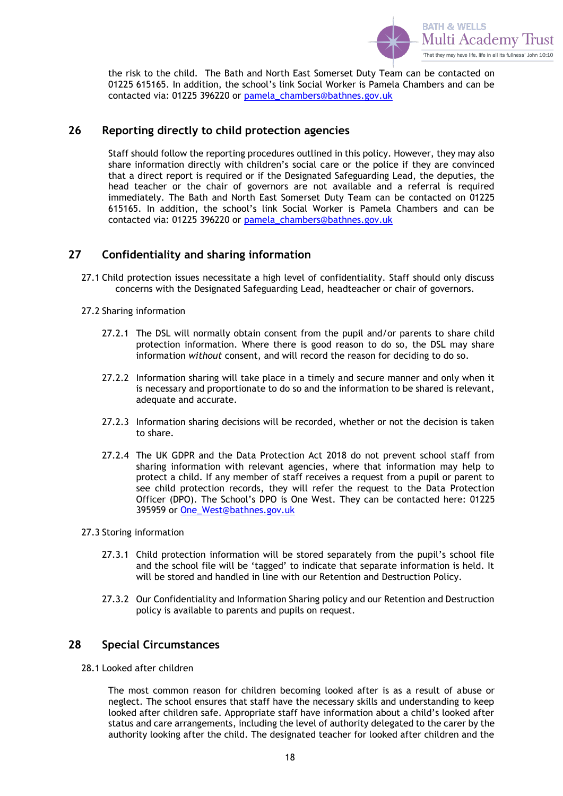

the risk to the child. The Bath and North East Somerset Duty Team can be contacted on 01225 615165. In addition, the school's link Social Worker is Pamela Chambers and can be contacted via: 01225 396220 or [pamela\\_chambers@bathnes.gov.uk](mailto:pamela_chambers@bathnes.gov.uk)

## <span id="page-17-0"></span>**26 Reporting directly to child protection agencies**

Staff should follow the reporting procedures outlined in this policy. However, they may also share information directly with children's social care or the police if they are convinced that a direct report is required or if the Designated Safeguarding Lead, the deputies, the head teacher or the chair of governors are not available and a referral is required immediately. The Bath and North East Somerset Duty Team can be contacted on 01225 615165. In addition, the school's link Social Worker is Pamela Chambers and can be contacted via: 01225 396220 or [pamela\\_chambers@bathnes.gov.uk](mailto:pamela_chambers@bathnes.gov.uk)

## <span id="page-17-1"></span>**27 Confidentiality and sharing information**

27.1 Child protection issues necessitate a high level of confidentiality. Staff should only discuss concerns with the Designated Safeguarding Lead, headteacher or chair of governors.

#### 27.2 Sharing information

- 27.2.1 The DSL will normally obtain consent from the pupil and/or parents to share child protection information. Where there is good reason to do so, the DSL may share information *without* consent, and will record the reason for deciding to do so.
- 27.2.2 Information sharing will take place in a timely and secure manner and only when it is necessary and proportionate to do so and the information to be shared is relevant, adequate and accurate.
- 27.2.3 Information sharing decisions will be recorded, whether or not the decision is taken to share.
- 27.2.4 The UK GDPR and the Data Protection Act 2018 do not prevent school staff from sharing information with relevant agencies, where that information may help to protect a child. If any member of staff receives a request from a pupil or parent to see child protection records, they will refer the request to the Data Protection Officer (DPO). The School's DPO is One West. They can be contacted here: 01225 395959 or [One\\_West@bathnes.gov.uk](mailto:One_West@bathnes.gov.uk)
- 27.3 Storing information
	- 27.3.1 Child protection information will be stored separately from the pupil's school file and the school file will be 'tagged' to indicate that separate information is held. It will be stored and handled in line with our Retention and Destruction Policy.
	- 27.3.2 Our Confidentiality and Information Sharing policy and our Retention and Destruction policy is available to parents and pupils on request.

### <span id="page-17-2"></span>**28 Special Circumstances**

28.1 Looked after children

The most common reason for children becoming looked after is as a result of abuse or neglect. The school ensures that staff have the necessary skills and understanding to keep looked after children safe. Appropriate staff have information about a child's looked after status and care arrangements, including the level of authority delegated to the carer by the authority looking after the child. The designated teacher for looked after children and the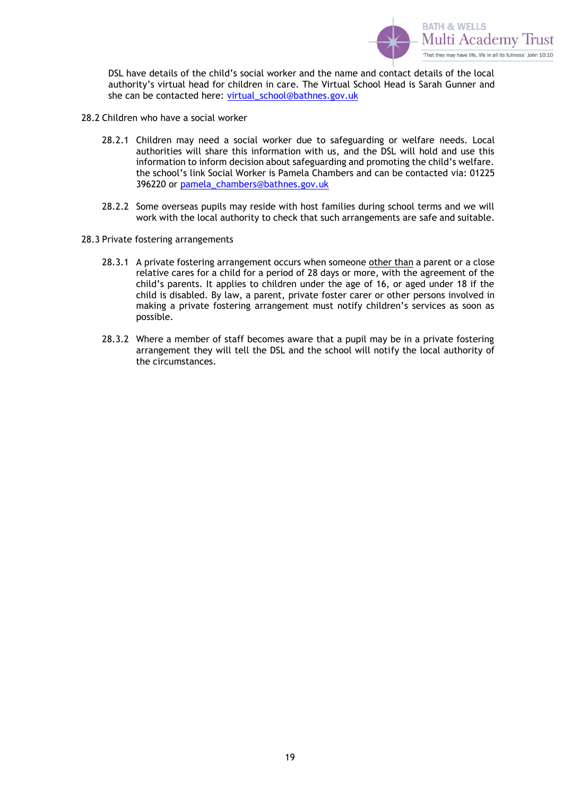

DSL have details of the child's social worker and the name and contact details of the local authority's virtual head for children in care. The Virtual School Head is Sarah Gunner and she can be contacted here: [virtual\\_school@bathnes.gov.uk](mailto:virtual_school@bathnes.gov.uk)

- 28.2 Children who have a social worker
	- 28.2.1 Children may need a social worker due to safeguarding or welfare needs. Local authorities will share this information with us, and the DSL will hold and use this information to inform decision about safeguarding and promoting the child's welfare. the school's link Social Worker is Pamela Chambers and can be contacted via: 01225 396220 or [pamela\\_chambers@bathnes.gov.uk](mailto:pamela_chambers@bathnes.gov.uk)
	- 28.2.2 Some overseas pupils may reside with host families during school terms and we will work with the local authority to check that such arrangements are safe and suitable.
- 28.3 Private fostering arrangements
	- 28.3.1 A private fostering arrangement occurs when someone other than a parent or a close relative cares for a child for a period of 28 days or more, with the agreement of the child's parents. It applies to children under the age of 16, or aged under 18 if the child is disabled. By law, a parent, private foster carer or other persons involved in making a private fostering arrangement must notify children's services as soon as possible.
	- 28.3.2 Where a member of staff becomes aware that a pupil may be in a private fostering arrangement they will tell the DSL and the school will notify the local authority of the circumstances.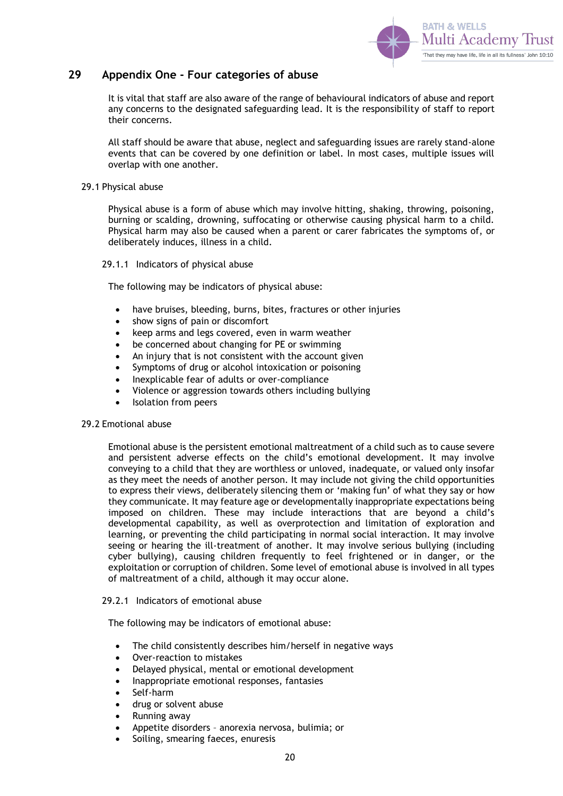

#### <span id="page-19-0"></span>**29 Appendix One - Four categories of abuse**

It is vital that staff are also aware of the range of behavioural indicators of abuse and report any concerns to the designated safeguarding lead. It is the responsibility of staff to report their concerns.

All staff should be aware that abuse, neglect and safeguarding issues are rarely stand-alone events that can be covered by one definition or label. In most cases, multiple issues will overlap with one another.

#### 29.1 Physical abuse

Physical abuse is a form of abuse which may involve hitting, shaking, throwing, poisoning, burning or scalding, drowning, suffocating or otherwise causing physical harm to a child. Physical harm may also be caused when a parent or carer fabricates the symptoms of, or deliberately induces, illness in a child.

#### 29.1.1 Indicators of physical abuse

The following may be indicators of physical abuse:

- have bruises, bleeding, burns, bites, fractures or other injuries
- show signs of pain or discomfort
- keep arms and legs covered, even in warm weather
- be concerned about changing for PE or swimming
- An injury that is not consistent with the account given
- Symptoms of drug or alcohol intoxication or poisoning
- Inexplicable fear of adults or over-compliance
- Violence or aggression towards others including bullying
- Isolation from peers

#### 29.2 Emotional abuse

Emotional abuse is the persistent emotional maltreatment of a child such as to cause severe and persistent adverse effects on the child's emotional development. It may involve conveying to a child that they are worthless or unloved, inadequate, or valued only insofar as they meet the needs of another person. It may include not giving the child opportunities to express their views, deliberately silencing them or 'making fun' of what they say or how they communicate. It may feature age or developmentally inappropriate expectations being imposed on children. These may include interactions that are beyond a child's developmental capability, as well as overprotection and limitation of exploration and learning, or preventing the child participating in normal social interaction. It may involve seeing or hearing the ill-treatment of another. It may involve serious bullying (including cyber bullying), causing children frequently to feel frightened or in danger, or the exploitation or corruption of children. Some level of emotional abuse is involved in all types of maltreatment of a child, although it may occur alone.

#### 29.2.1 Indicators of emotional abuse

The following may be indicators of emotional abuse:

- The child consistently describes him/herself in negative ways
- Over-reaction to mistakes
- Delayed physical, mental or emotional development
- Inappropriate emotional responses, fantasies
- Self-harm
- drug or solvent abuse
- Running away
- Appetite disorders anorexia nervosa, bulimia; or
- Soiling, smearing faeces, enuresis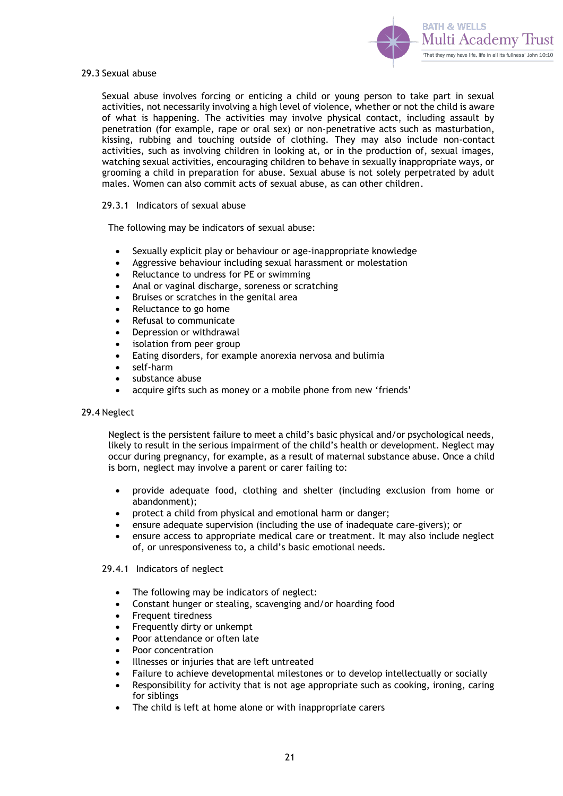

#### 29.3 Sexual abuse

Sexual abuse involves forcing or enticing a child or young person to take part in sexual activities, not necessarily involving a high level of violence, whether or not the child is aware of what is happening. The activities may involve physical contact, including assault by penetration (for example, rape or oral sex) or non-penetrative acts such as masturbation, kissing, rubbing and touching outside of clothing. They may also include non-contact activities, such as involving children in looking at, or in the production of, sexual images, watching sexual activities, encouraging children to behave in sexually inappropriate ways, or grooming a child in preparation for abuse. Sexual abuse is not solely perpetrated by adult males. Women can also commit acts of sexual abuse, as can other children.

#### 29.3.1 Indicators of sexual abuse

The following may be indicators of sexual abuse:

- Sexually explicit play or behaviour or age-inappropriate knowledge
- Aggressive behaviour including sexual harassment or molestation
- Reluctance to undress for PE or swimming
- Anal or vaginal discharge, soreness or scratching
- Bruises or scratches in the genital area
- Reluctance to go home
- Refusal to communicate
- Depression or withdrawal
- isolation from peer group
- Eating disorders, for example anorexia nervosa and bulimia
- self-harm
- substance abuse
- acquire gifts such as money or a mobile phone from new 'friends'

#### 29.4 Neglect

Neglect is the persistent failure to meet a child's basic physical and/or psychological needs, likely to result in the serious impairment of the child's health or development. Neglect may occur during pregnancy, for example, as a result of maternal substance abuse. Once a child is born, neglect may involve a parent or carer failing to:

- provide adequate food, clothing and shelter (including exclusion from home or abandonment);
- protect a child from physical and emotional harm or danger;
- ensure adequate supervision (including the use of inadequate care-givers); or
- ensure access to appropriate medical care or treatment. It may also include neglect of, or unresponsiveness to, a child's basic emotional needs.
- 29.4.1 Indicators of neglect
	- The following may be indicators of neglect:
	- Constant hunger or stealing, scavenging and/or hoarding food
	- Frequent tiredness
	- Frequently dirty or unkempt
	- Poor attendance or often late
	- Poor concentration
	- Illnesses or injuries that are left untreated
	- Failure to achieve developmental milestones or to develop intellectually or socially
	- Responsibility for activity that is not age appropriate such as cooking, ironing, caring for siblings
	- The child is left at home alone or with inappropriate carers